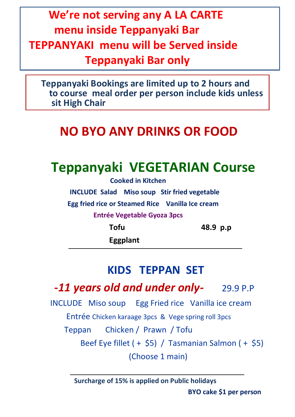# **We're not serving any A LA CARTE menu inside Teppanyaki Bar TEPPANYAKI menu will be Served inside Teppanyaki Bar only**

 **Teppanyaki Bookings are limited up to 2 hours and to course meal order per person include kids unless sit High Chair** 

# **NO BYO ANY DRINKS OR FOOD**

# **Teppanyaki VEGETARIAN Course**

 **Cooked in Kitchen INCLUDE Salad Miso soup Stir fried vegetable Egg fried rice or Steamed Rice Vanilla Ice cream Entrée Vegetable Gyoza 3pcs Tofu 48.9 p.p**

 **Eggplant**

## **KIDS TEPPAN SET**

 **-***11 years old and under only-* 29.9 P.P

 INCLUDE Miso soup Egg Fried rice Vanilla ice cream Entrée Chicken karaage 3pcs & Vege spring roll 3pcs

Teppan Chicken / Prawn / Tofu

 Beef Eye fillet ( + \$5) / Tasmanian Salmon ( + \$5) (Choose 1 main)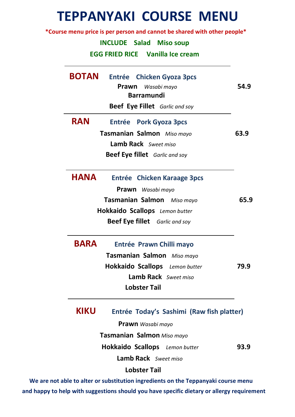# **TEPPANYAKI COURSE MENU**

 **\*Course menu price is per person and cannot be shared with other people\***

#### **INCLUDE Salad Miso soup**

 **EGG FRIED RICE Vanilla Ice cream**

| <b>BOTAN</b> | <b>Entrée</b> Chicken Gyoza 3pcs<br>Prawn<br>Wasabi mayo<br><b>Barramundi</b><br><b>Beef Eye Fillet</b> Garlic and soy                                               | 54.9 |
|--------------|----------------------------------------------------------------------------------------------------------------------------------------------------------------------|------|
| <b>RAN</b>   | <b>Entrée</b> Pork Gyoza 3pcs<br>Tasmanian Salmon Miso mayo<br><b>Lamb Rack</b> Sweet miso<br><b>Beef Eye fillet</b> Garlic and soy                                  | 63.9 |
| <b>HANA</b>  | Entrée Chicken Karaage 3pcs<br><b>Prawn</b> Wasabi mayo<br>Tasmanian Salmon Miso mayo<br>Hokkaido Scallops Lemon butter<br><b>Beef Eye fillet</b> Garlic and soy     | 65.9 |
| <b>BARA</b>  | Entrée Prawn Chilli mayo<br>Tasmanian Salmon Miso mayo<br>Hokkaido Scallops Lemon butter<br>Lamb Rack Sweet miso<br><b>Lobster Tail</b>                              | 79.9 |
| <b>KIKU</b>  | Entrée Today's Sashimi (Raw fish platter)<br><b>Prawn</b> Wasabi mayo<br>Tasmanian Salmon Miso mayo<br>Hokkaido Scallops Lemon butter<br><b>Lamb Rack</b> Sweet miso | 93.9 |
|              | <b>Lobster Tail</b>                                                                                                                                                  |      |

 **We are not able to alter or substitution ingredients on the Teppanyaki course menu and happy to help with suggestions should you have specific dietary or allergy requirement**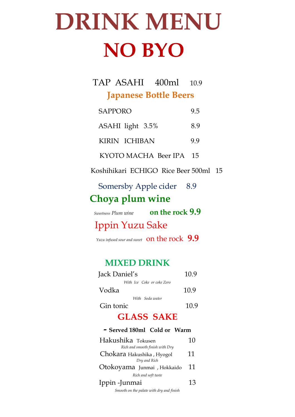# **DRINK MENU NO BYO**

## TAP ASAHI 400ml 10.9  **Japanese Bottle Beers**

| <b>SAPPORO</b>          | 9.5 |
|-------------------------|-----|
| ASAHI light 3.5%        | 8.9 |
| KIRIN ICHIBAN           | 9.9 |
| KYOTO MACHA Beer IPA 15 |     |

Koshihikari ECHIGO Rice Beer 500ml 15

Somersby Apple cider 8.9  **Choya plum wine**

| Sweetness Plum wine | on the rock 9.9 |
|---------------------|-----------------|
|---------------------|-----------------|

Ippin Yuzu Sake

*Yuzu infused sour and sweet* on the rock **9.9**

#### **MIXED DRINK**

| Jack Daniel's              | 10.9 |
|----------------------------|------|
| With Ice Coke or coke Zero |      |
| Vodka                      | 10.9 |
| With Soda water            |      |
| Gin tonic                  | 10.9 |

## **GLASS SAKE**

#### **- Served 180ml Cold or Warm**

| Hakushika Tokusen                        | 10 |
|------------------------------------------|----|
| Rich and smooth finish with Dry          |    |
| Chokara Hakushika, Hyogol                | 11 |
| Dry and Rich                             |    |
| Otokoyama Junmai , Hokkaido              | 11 |
| Rich and soft taste                      |    |
| Ippin - Junmai                           | 13 |
| Smooth on the palate with dry and finish |    |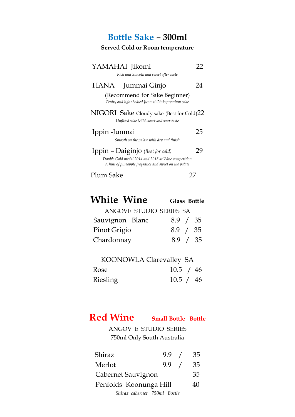## **Bottle Sake – 300ml**

#### **Served Cold or Room temperature**

| YAMAHAI Jikomi<br>Rich and Smooth and sweet after taste                                                                                          | 1') |
|--------------------------------------------------------------------------------------------------------------------------------------------------|-----|
| Jummai Ginjo<br>HANA<br>(Recommend for Sake Beginner)<br>Fruity and light bodied Junmai Ginjo premium sake                                       | 24  |
| NIGORI Sake Cloudy sake (Best for Cold)22<br>Unfilted sake Mild sweet and sour taste                                                             |     |
| Ippin - Junmai<br>Smooth on the palate with dry and finish                                                                                       | 25  |
| Ippin - Daiginjo (Best for cold)<br>Double Gold medal 2014 and 2015 at Wine competition<br>A hint of pineapple fragrance and sweet on the palate | 79  |
| Plum Sake                                                                                                                                        |     |

| <b>White Wine</b> |                         | <b>Glass Bottle</b> |  |
|-------------------|-------------------------|---------------------|--|
|                   | ANCOVE STUDIO SERIES SA |                     |  |

|                 | AINGUVE OLUDIU JENIEJ JA |          |  |
|-----------------|--------------------------|----------|--|
| Sauvignon Blanc |                          | 8.9 / 35 |  |
|                 |                          |          |  |

| Pinot Grigio | 8.9 / 35 |  |
|--------------|----------|--|
| Chardonnay   | 8.9 / 35 |  |

| <b>KOONOWLA Clarevalley SA</b> |           |  |
|--------------------------------|-----------|--|
| Rose                           | 10.5 / 46 |  |
| <b>Riesling</b>                | 10.5 / 46 |  |

## **Red Wine Small Bottle Bottle**

ANGOV E STUDIO SERIES 750ml Only South Australia

| Shiraz                       | 9.9 / | -35 |
|------------------------------|-------|-----|
| Merlot                       | 9.9 / | 35  |
| Cabernet Sauvignon           |       | 35  |
| Penfolds Koonunga Hill       |       | 40  |
| Shiraz cabernet 750ml Bottle |       |     |